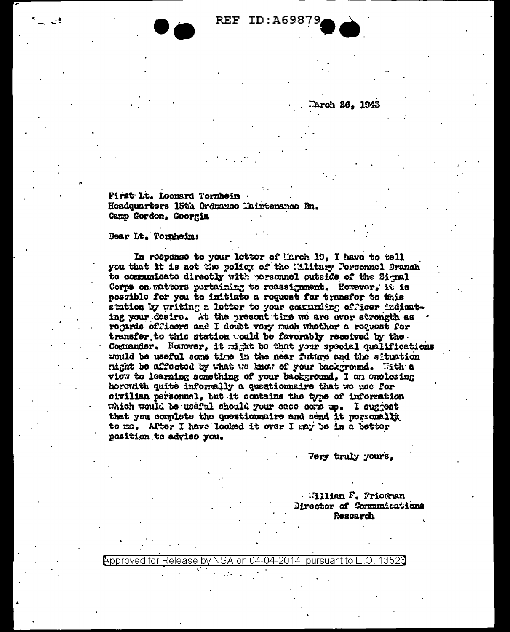**REF ID: A69879** 

**Erch 26. 1943** 

First Lt. Loonard Tornheim Hoadquarters 15th Ordnamoe Maintenance Bn. Camp Gordon, Goorgia

## Dear Lt. Tornheim:

In response to your letter of Mirch 19, I have to tell you that it is not the policy of the Military Personnel Branch to communicato directly with personnel outside of the Signal Corps on mattors pertaining to reassignment. However, it is possible for you to initiate a request for transfor to this station by writing a letter to your community officer indicating your desire. At the present time we are ever strength as regards officers and I doubt very much whether a request for transfer to this station would be favorably received by the Commander. Honover, it might be that your special qualifications would be useful some time in the near future and the situation night be affected by what we know of your background. With a viou to learning semething of your background, I am enclosing horowith quite informally a questionnaire that we use for civilian personnel, but it contains the type of information which would be useful should your once come up. I suggest that you complete the questionnaire and send it personslig to mo. After I have looked it over I may be in a better position to advise you.

Very truly yours,

William F. Friedran Director of Communications Research

Approved for Release by NSA on 04-04-2014 pursuant to E.O. 13526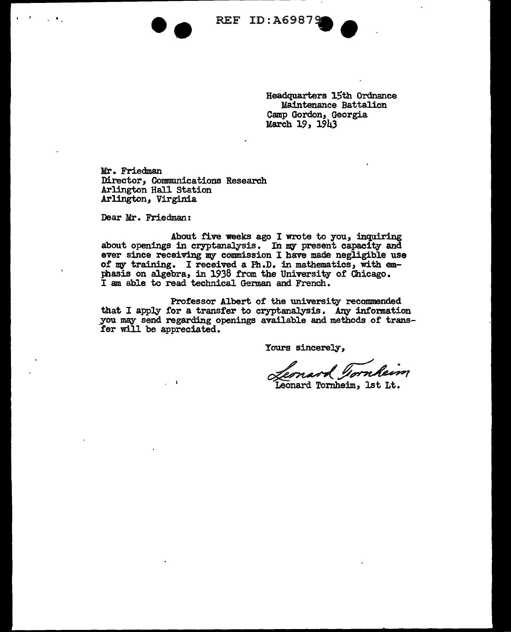REF ID: A6987

Headquarters 15th Ordnance Maintenance Battalion Camp Gordon, Georgia March 19, 1943

Mr. Friedman Director, Communications Research Arlington Hall Station Arlington, Virginia

-·

Dear Mr. Friedman:

' r

About five weeks ago I wrote to you, inquiring about openings in cryptanalysis. In my present capacity and ever since receiving my commission I have made negligible use of my training. I received a Ph.D. in mathematics, with emphasis on algebra, in 1938 from the University of Chicago. I am able to read technical German and French.

Professor Albert of the university recommended that I apply for a transfer to cryptanalysis. Any information you may send regarding openings available and methods of transfer will be appreciated.

Yours sincerely,

ppreciated.<br>
Yours sincerely,<br> *Clernard Tornheim*, 1st Lt.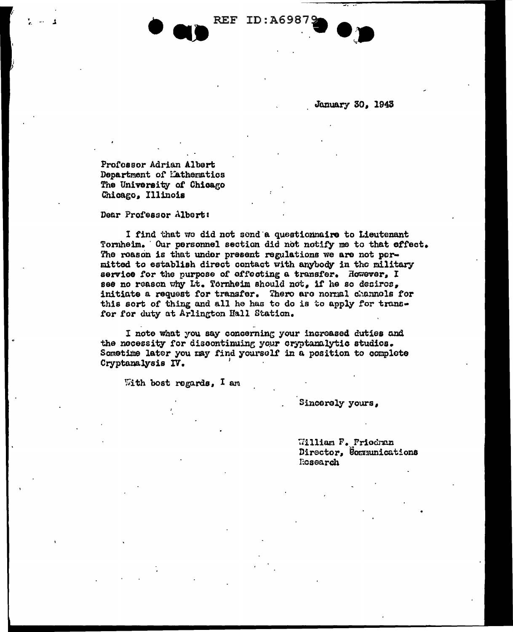

January 30, 1943

Profossor Adrian Albert Department of Mathematics The University of Chicago Chicago, Illinois

Dear Professor Albert:

I find that we did not send a questionnaire to Lieutenant Tornheim. Our personnel section did not notify me to that effect. The roason is that under present regulations we are not permitted to establish direct contact with anybody in the military service for the purpose of effecting a transfer. However, I see no reason why Lt. Tornheim should not, if he so desiros, initiate a request for transfer. There are normal channels for this sort of thing and all he has to do is to apply for transfor for duty at Arlington Hall Station.

**REF ID:A6987** 

I note what you say concerning your increased duties and the necessity for discontinuing your cryptanalytic studios. Sometime later you may find yourself in a position to complete Cryptanalysis IV.

With bost regards, I am

Sincerely yours,

William F. Friedran Director, Communications Ecsearch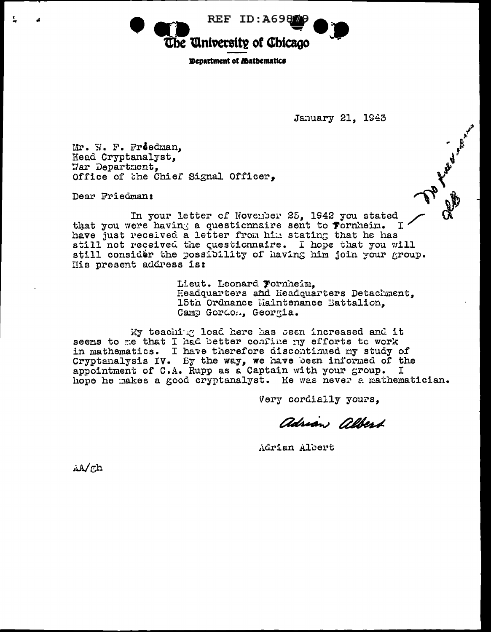REF ID:A6987 The University of Chicago

**EDenartment of Mathematics** 

January 21, 1943

**Maritimes** 

Mr. W. F. Freedman. Head Cryptanalyst. Har Department. Office of the Chief Signal Officer.

Dear Friedman:

In your letter of November 25, 1942 you stated that you were having a questionnaire sent to Fornheim. T. have just received a letter from him stating that he has<br>still not received the questionnaire. I hope that you will still consider the possibility of having him join your group. His present address is:

> Lieut. Leonard Fornheim, Headquarters and Headquarters Detachment. 15th Ordnance Maintenance Battalion. Camp Gordon, Georgia.

My teaching load here has been increased and it seems to me that I had better confine my efforts to work in mathematics. I have therefore discontinued my study of Cryptanalysis IV. By the way, we have been informed of the appointment of C.A. Rupp as a Captain with your group. I hope he makes a good cryptanalyst. He was never a mathematician.

Very cordially yours.

adrian albert

Adrian Albert

 $A/\eta h$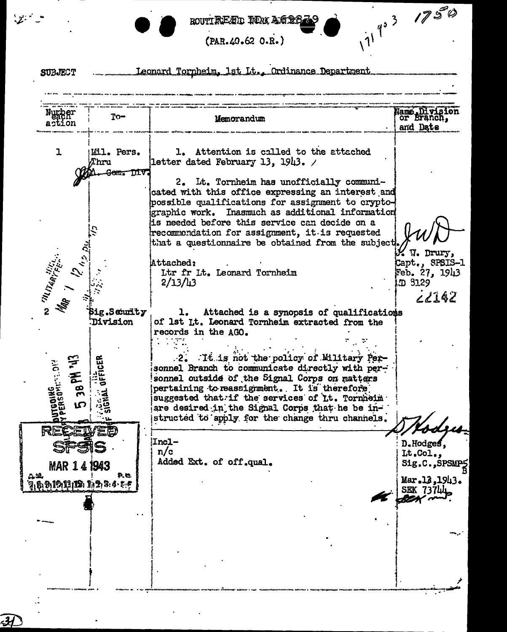## ROUTTREAD TON AGEE

 $11^{4^{3}}$  1750

 $(PAR.49.62 O.R.)$ 

Leonard Tornheim, 1st Lt., Ordinance Department **SUBJECT** Name Division<br>| or Branch, Number<br>action  $To-$ Memorandum and Date  $\mathbf{1}$ 1. Attention is called to the attached Mil. Pers. Thru letter dated February 13, 1943.  $\sqrt{ }$ <del>Gom, DIV</del> 2. It. Tornheim has unofficially communicated with this office expressing an interest and possible qualifications for assignment to cryptographic work. Inasmuch as additional information is needed before this service can decide on a recommendation for assignment, it is requested that a questionnaire be obtained from the subject W. Drury, Attached: Capt., SPSIS-1 Feb. 27, 1943 Ltr fr Lt. Leonard Tornheim  $2/13/13$ D 3129 68142 **Sig.Seturity** ı. Attached is a synopsis of qualifications **Division** of 1st Lt. Leonard Tornheim extracted from the records in the AGO. 2. It is not the policy of Military Per-OFFICER ייוס<br>יי sonnel Branch to communicate directly with personnel outside of the Signal Corps on matters  $\overline{\mathbf{g}}$  $\frac{1}{2}$ pertaining to reassignment. It is therefore suggested that if the services of Lt. Tornheim are desired in the Signal Corps that he be instructed to apply for the change thru channels. ds. RE **Incl-**D.Hodges,  $n/c$ Lt.Col., Added Ext. of off.qual. Sig.C., SPSMPS 1943 **MAR 14** 58 9. O. Mar.13,1943. 7,8,9,19,11,12,1,2,3.4 : 5 SEK 73744

 $\mathcal{L} = \mathcal{L}$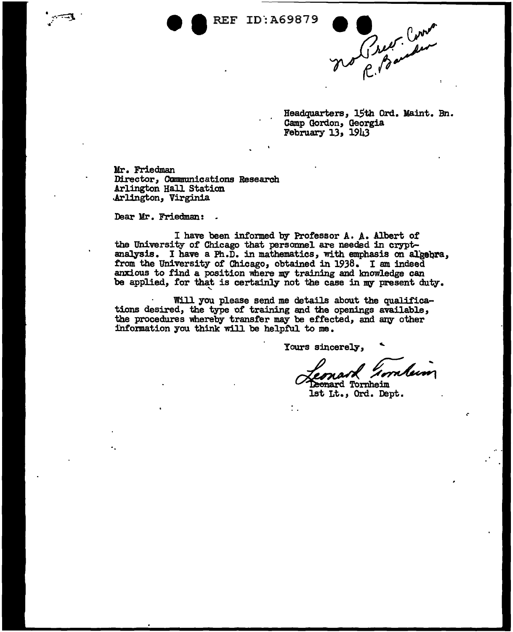

Headquarters, 15th Ord. Maint. Bn. Camp Gordon, Georgia February 13, 1943

Mr. Friedman Director, Cmmmmications Research Arlington Hall Station .Arlington, Virginia

Dear Mr. Friedman:

I have been informed by Professor A. *}..* • Albert of the University of Chicago that personnel are needed in cryptanalysis. I have a Ph.D. in mathematics, with emphasis on algebra, trom the University of Chicago, obtained in 1938. I am indeed anxious to find a position where my training and lmowledge can be applied, for that is certainly not the case in my present duty.

Will you please send me details about the qualifications desired, the type of training and the openings available, the procedures whereby transfer may be effected, and any other information you think will be helpful to me.

 $\ddot{\phantom{0}}$ 

Yours sincerely,

urs sincerely,<br>Remark Hornbern<br>Remard Tornheim<br>1st Lt., Ord. Dept.

.-